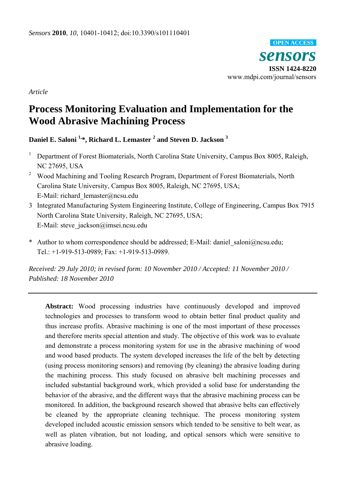

*Article* 

# **Process Monitoring Evaluation and Implementation for the Wood Abrasive Machining Process**

**Daniel E. Saloni 1,\*, Richard L. Lemaster 2 and Steven D. Jackson <sup>3</sup>**

- 1 Department of Forest Biomaterials, North Carolina State University, Campus Box 8005, Raleigh, NC 27695, USA
- <sup>2</sup> Wood Machining and Tooling Research Program, Department of Forest Biomaterials, North Carolina State University, Campus Box 8005, Raleigh, NC 27695, USA; E-Mail: richard\_lemaster@ncsu.edu
- 3 Integrated Manufacturing System Engineering Institute, College of Engineering, Campus Box 7915 North Carolina State University, Raleigh, NC 27695, USA; E-Mail: steve\_jackson@imsei.ncsu.edu
- \* Author to whom correspondence should be addressed; E-Mail: daniel\_saloni@ncsu.edu; Tel.: +1-919-513-0989; Fax: +1-919-513-0989.

*Received: 29 July 2010; in revised form: 10 November 2010 / Accepted: 11 November 2010 / Published: 18 November 2010* 

**Abstract:** Wood processing industries have continuously developed and improved technologies and processes to transform wood to obtain better final product quality and thus increase profits. Abrasive machining is one of the most important of these processes and therefore merits special attention and study. The objective of this work was to evaluate and demonstrate a process monitoring system for use in the abrasive machining of wood and wood based products. The system developed increases the life of the belt by detecting (using process monitoring sensors) and removing (by cleaning) the abrasive loading during the machining process. This study focused on abrasive belt machining processes and included substantial background work, which provided a solid base for understanding the behavior of the abrasive, and the different ways that the abrasive machining process can be monitored. In addition, the background research showed that abrasive belts can effectively be cleaned by the appropriate cleaning technique. The process monitoring system developed included acoustic emission sensors which tended to be sensitive to belt wear, as well as platen vibration, but not loading, and optical sensors which were sensitive to abrasive loading.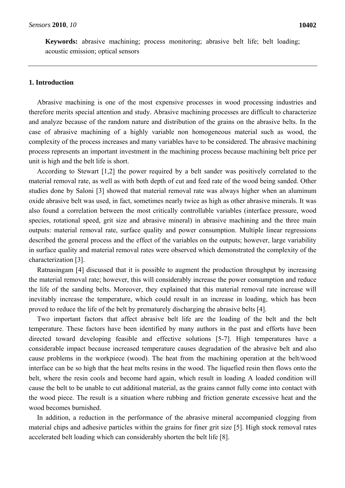**Keywords:** abrasive machining; process monitoring; abrasive belt life; belt loading; acoustic emission; optical sensors

### **1. Introduction**

Abrasive machining is one of the most expensive processes in wood processing industries and therefore merits special attention and study. Abrasive machining processes are difficult to characterize and analyze because of the random nature and distribution of the grains on the abrasive belts. In the case of abrasive machining of a highly variable non homogeneous material such as wood, the complexity of the process increases and many variables have to be considered. The abrasive machining process represents an important investment in the machining process because machining belt price per unit is high and the belt life is short.

According to Stewart [1,2] the power required by a belt sander was positively correlated to the material removal rate, as well as with both depth of cut and feed rate of the wood being sanded. Other studies done by Saloni [3] showed that material removal rate was always higher when an aluminum oxide abrasive belt was used, in fact, sometimes nearly twice as high as other abrasive minerals. It was also found a correlation between the most critically controllable variables (interface pressure, wood species, rotational speed, grit size and abrasive mineral) in abrasive machining and the three main outputs: material removal rate, surface quality and power consumption. Multiple linear regressions described the general process and the effect of the variables on the outputs; however, large variability in surface quality and material removal rates were observed which demonstrated the complexity of the characterization [3].

Ratnasingam [4] discussed that it is possible to augment the production throughput by increasing the material removal rate; however, this will considerably increase the power consumption and reduce the life of the sanding belts. Moreover, they explained that this material removal rate increase will inevitably increase the temperature, which could result in an increase in loading, which has been proved to reduce the life of the belt by prematurely discharging the abrasive belts [4].

Two important factors that affect abrasive belt life are the loading of the belt and the belt temperature. These factors have been identified by many authors in the past and efforts have been directed toward developing feasible and effective solutions [5-7]. High temperatures have a considerable impact because increased temperature causes degradation of the abrasive belt and also cause problems in the workpiece (wood). The heat from the machining operation at the belt/wood interface can be so high that the heat melts resins in the wood. The liquefied resin then flows onto the belt, where the resin cools and become hard again, which result in loading. A loaded condition will cause the belt to be unable to cut additional material, as the grains cannot fully come into contact with the wood piece. The result is a situation where rubbing and friction generate excessive heat and the wood becomes burnished.

In addition, a reduction in the performance of the abrasive mineral accompanied clogging from material chips and adhesive particles within the grains for finer grit size [5]. High stock removal rates accelerated belt loading which can considerably shorten the belt life [8].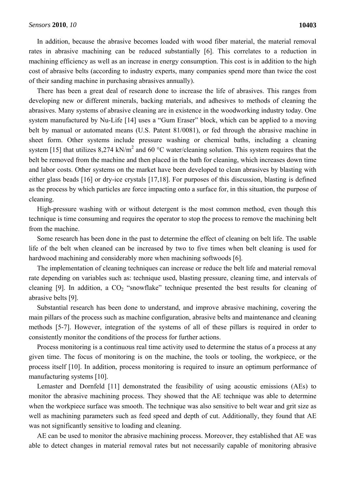In addition, because the abrasive becomes loaded with wood fiber material, the material removal rates in abrasive machining can be reduced substantially [6]. This correlates to a reduction in machining efficiency as well as an increase in energy consumption. This cost is in addition to the high cost of abrasive belts (according to industry experts, many companies spend more than twice the cost of their sanding machine in purchasing abrasives annually).

There has been a great deal of research done to increase the life of abrasives. This ranges from developing new or different minerals, backing materials, and adhesives to methods of cleaning the abrasives. Many systems of abrasive cleaning are in existence in the woodworking industry today. One system manufactured by Nu-Life [14] uses a "Gum Eraser" block, which can be applied to a moving belt by manual or automated means (U.S. Patent 81/0081), or fed through the abrasive machine in sheet form. Other systems include pressure washing or chemical baths, including a cleaning system [15] that utilizes 8,274 kN/m<sup>2</sup> and 60 °C water/cleaning solution. This system requires that the belt be removed from the machine and then placed in the bath for cleaning, which increases down time and labor costs. Other systems on the market have been developed to clean abrasives by blasting with either glass beads [16] or dry-ice crystals [17,18]. For purposes of this discussion, blasting is defined as the process by which particles are force impacting onto a surface for, in this situation, the purpose of cleaning.

High-pressure washing with or without detergent is the most common method, even though this technique is time consuming and requires the operator to stop the process to remove the machining belt from the machine.

Some research has been done in the past to determine the effect of cleaning on belt life. The usable life of the belt when cleaned can be increased by two to five times when belt cleaning is used for hardwood machining and considerably more when machining softwoods [6].

The implementation of cleaning techniques can increase or reduce the belt life and material removal rate depending on variables such as: technique used, blasting pressure, cleaning time, and intervals of cleaning [9]. In addition, a  $CO<sub>2</sub>$  "snowflake" technique presented the best results for cleaning of abrasive belts [9].

Substantial research has been done to understand, and improve abrasive machining, covering the main pillars of the process such as machine configuration, abrasive belts and maintenance and cleaning methods [5-7]. However, integration of the systems of all of these pillars is required in order to consistently monitor the conditions of the process for further actions.

Process monitoring is a continuous real time activity used to determine the status of a process at any given time. The focus of monitoring is on the machine, the tools or tooling, the workpiece, or the process itself [10]. In addition, process monitoring is required to insure an optimum performance of manufacturing systems [10].

Lemaster and Dornfeld [11] demonstrated the feasibility of using acoustic emissions (AEs) to monitor the abrasive machining process. They showed that the AE technique was able to determine when the workpiece surface was smooth. The technique was also sensitive to belt wear and grit size as well as machining parameters such as feed speed and depth of cut. Additionally, they found that AE was not significantly sensitive to loading and cleaning.

AE can be used to monitor the abrasive machining process. Moreover, they established that AE was able to detect changes in material removal rates but not necessarily capable of monitoring abrasive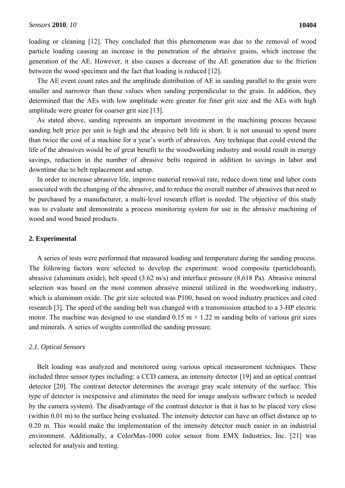loading or cleaning [12]. They concluded that this phenomenon was due to the removal of wood particle loading causing an increase in the penetration of the abrasive grains, which increase the generation of the AE. However, it also causes a decrease of the AE generation due to the friction between the wood specimen and the fact that loading is reduced [12].

The AE event count rates and the amplitude distribution of AE in sanding parallel to the grain were smaller and narrower than these values when sanding perpendicular to the grain. In addition, they determined that the AEs with low amplitude were greater for finer grit size and the AEs with high amplitude were greater for coarser grit size [13].

As stated above, sanding represents an important investment in the machining process because sanding belt price per unit is high and the abrasive belt life is short. It is not unusual to spend more than twice the cost of a machine for a year's worth of abrasives. Any technique that could extend the life of the abrasives would be of great benefit to the woodworking industry and would result in energy savings, reduction in the number of abrasive belts required in addition to savings in labor and downtime due to belt replacement and setup.

In order to increase abrasive life, improve material removal rate, reduce down time and labor costs associated with the changing of the abrasive, and to reduce the overall number of abrasives that need to be purchased by a manufacturer, a multi-level research effort is needed. The objective of this study was to evaluate and demonstrate a process monitoring system for use in the abrasive machining of wood and wood based products.

## **2. Experimental**

A series of tests were performed that measured loading and temperature during the sanding process. The following factors were selected to develop the experiment: wood composite (particleboard), abrasive (aluminum oxide), belt speed (3.62 m/s) and interface pressure (8,618 Pa). Abrasive mineral selection was based on the most common abrasive mineral utilized in the woodworking industry, which is aluminum oxide. The grit size selected was P100, based on wood industry practices and cited research [3]. The speed of the sanding belt was changed with a transmission attached to a 3-HP electric motor. The machine was designed to use standard  $0.15 \text{ m} \times 1.22 \text{ m}$  sanding belts of various grit sizes and minerals. A series of weights controlled the sanding pressure.

### *2.1. Optical Sensors*

Belt loading was analyzed and monitored using various optical measurement techniques. These included three sensor types including: a CCD camera, an intensity detector [19] and an optical contrast detector [20]. The contrast detector determines the average gray scale intensity of the surface. This type of detector is inexpensive and eliminates the need for image analysis software (which is needed by the camera system). The disadvantage of the contrast detector is that it has to be placed very close (within 0.01 m) to the surface being evaluated. The intensity detector can have an offset distance up to 0.20 m. This would make the implementation of the intensity detector much easier in an industrial environment. Additionally, a ColorMax-1000 color sensor from EMX Industries, Inc. [21] was selected for analysis and testing.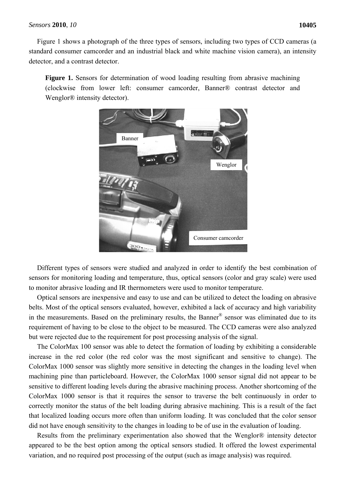Figure 1 shows a photograph of the three types of sensors, including two types of CCD cameras (a standard consumer camcorder and an industrial black and white machine vision camera), an intensity detector, and a contrast detector.

**Figure 1.** Sensors for determination of wood loading resulting from abrasive machining (clockwise from lower left: consumer camcorder, Banner® contrast detector and Wenglor® intensity detector).



Different types of sensors were studied and analyzed in order to identify the best combination of sensors for monitoring loading and temperature, thus, optical sensors (color and gray scale) were used to monitor abrasive loading and IR thermometers were used to monitor temperature.

Optical sensors are inexpensive and easy to use and can be utilized to detect the loading on abrasive belts. Most of the optical sensors evaluated, however, exhibited a lack of accuracy and high variability in the measurements. Based on the preliminary results, the Banner® sensor was eliminated due to its requirement of having to be close to the object to be measured. The CCD cameras were also analyzed but were rejected due to the requirement for post processing analysis of the signal.

The ColorMax 100 sensor was able to detect the formation of loading by exhibiting a considerable increase in the red color (the red color was the most significant and sensitive to change). The ColorMax 1000 sensor was slightly more sensitive in detecting the changes in the loading level when machining pine than particleboard. However, the ColorMax 1000 sensor signal did not appear to be sensitive to different loading levels during the abrasive machining process. Another shortcoming of the ColorMax 1000 sensor is that it requires the sensor to traverse the belt continuously in order to correctly monitor the status of the belt loading during abrasive machining. This is a result of the fact that localized loading occurs more often than uniform loading. It was concluded that the color sensor did not have enough sensitivity to the changes in loading to be of use in the evaluation of loading.

Results from the preliminary experimentation also showed that the Wenglor® intensity detector appeared to be the best option among the optical sensors studied. It offered the lowest experimental variation, and no required post processing of the output (such as image analysis) was required.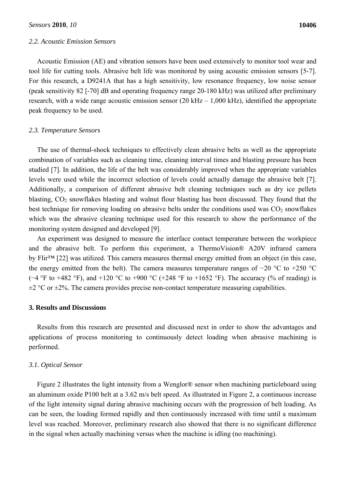#### *2.2. Acoustic Emission Sensors*

Acoustic Emission (AE) and vibration sensors have been used extensively to monitor tool wear and tool life for cutting tools. Abrasive belt life was monitored by using acoustic emission sensors [5-7]. For this research, a D9241A that has a high sensitivity, low resonance frequency, low noise sensor (peak sensitivity 82 [-70] dB and operating frequency range 20-180 kHz) was utilized after preliminary research, with a wide range acoustic emission sensor  $(20 \text{ kHz} - 1,000 \text{ kHz})$ , identified the appropriate peak frequency to be used.

### *2.3. Temperature Sensors*

The use of thermal-shock techniques to effectively clean abrasive belts as well as the appropriate combination of variables such as cleaning time, cleaning interval times and blasting pressure has been studied [7]. In addition, the life of the belt was considerably improved when the appropriate variables levels were used while the incorrect selection of levels could actually damage the abrasive belt [7]. Additionally, a comparison of different abrasive belt cleaning techniques such as dry ice pellets blasting,  $CO<sub>2</sub>$  snowflakes blasting and walnut flour blasting has been discussed. They found that the best technique for removing loading on abrasive belts under the conditions used was  $CO<sub>2</sub>$  snowflakes which was the abrasive cleaning technique used for this research to show the performance of the monitoring system designed and developed [9].

An experiment was designed to measure the interface contact temperature between the workpiece and the abrasive belt. To perform this experiment, a ThermoVision® A20V infrared camera by Flir™ [22] was utilized. This camera measures thermal energy emitted from an object (in this case, the energy emitted from the belt). The camera measures temperature ranges of  $-20$  °C to  $+250$  °C  $(-4 \text{°F to +482 °F})$ , and +120 °C to +900 °C (+248 °F to +1652 °F). The accuracy (% of reading) is  $\pm$ 2 °C or  $\pm$ 2%. The camera provides precise non-contact temperature measuring capabilities.

#### **3. Results and Discussions**

Results from this research are presented and discussed next in order to show the advantages and applications of process monitoring to continuously detect loading when abrasive machining is performed.

### *3.1. Optical Sensor*

Figure 2 illustrates the light intensity from a Wenglor® sensor when machining particleboard using an aluminum oxide P100 belt at a 3.62 m/s belt speed. As illustrated in Figure 2, a continuous increase of the light intensity signal during abrasive machining occurs with the progression of belt loading. As can be seen, the loading formed rapidly and then continuously increased with time until a maximum level was reached. Moreover, preliminary research also showed that there is no significant difference in the signal when actually machining versus when the machine is idling (no machining).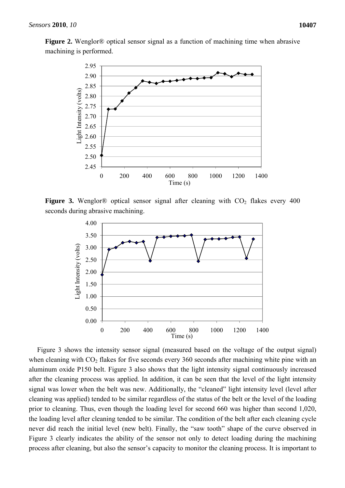**Figure 2.** Wenglor® optical sensor signal as a function of machining time when abrasive machining is performed.



**Figure 3.** Wenglor<sup>®</sup> optical sensor signal after cleaning with  $CO<sub>2</sub>$  flakes every 400 seconds during abrasive machining.



Figure 3 shows the intensity sensor signal (measured based on the voltage of the output signal) when cleaning with  $CO<sub>2</sub>$  flakes for five seconds every 360 seconds after machining white pine with an aluminum oxide P150 belt. Figure 3 also shows that the light intensity signal continuously increased after the cleaning process was applied. In addition, it can be seen that the level of the light intensity signal was lower when the belt was new. Additionally, the "cleaned" light intensity level (level after cleaning was applied) tended to be similar regardless of the status of the belt or the level of the loading prior to cleaning. Thus, even though the loading level for second 660 was higher than second 1,020, the loading level after cleaning tended to be similar. The condition of the belt after each cleaning cycle never did reach the initial level (new belt). Finally, the "saw tooth" shape of the curve observed in Figure 3 clearly indicates the ability of the sensor not only to detect loading during the machining process after cleaning, but also the sensor's capacity to monitor the cleaning process. It is important to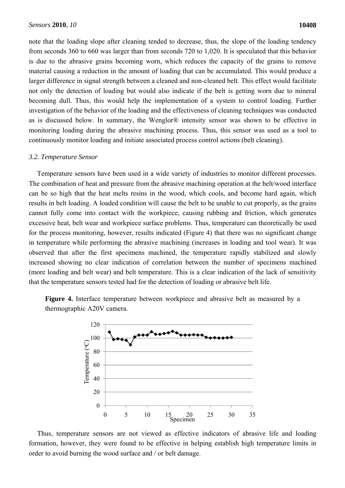note that the loading slope after cleaning tended to decrease, thus, the slope of the loading tendency from seconds 360 to 660 was larger than from seconds 720 to 1,020. It is speculated that this behavior is due to the abrasive grains becoming worn, which reduces the capacity of the grains to remove material causing a reduction in the amount of loading that can be accumulated. This would produce a larger difference in signal strength between a cleaned and non-cleaned belt. This effect would facilitate not only the detection of loading but would also indicate if the belt is getting worn due to mineral becoming dull. Thus, this would help the implementation of a system to control loading. Further investigation of the behavior of the loading and the effectiveness of cleaning techniques was conducted as is discussed below. In summary, the Wenglor® intensity sensor was shown to be effective in monitoring loading during the abrasive machining process. Thus, this sensor was used as a tool to continuously monitor loading and initiate associated process control actions (belt cleaning).

#### *3.2. Temperature Sensor*

Temperature sensors have been used in a wide variety of industries to monitor different processes. The combination of heat and pressure from the abrasive machining operation at the belt/wood interface can be so high that the heat melts resins in the wood, which cools, and become hard again, which results in belt loading. A loaded condition will cause the belt to be unable to cut properly, as the grains cannot fully come into contact with the workpiece, causing rubbing and friction, which generates excessive heat, belt wear and workpiece surface problems. Thus, temperature can theoretically be used for the process monitoring, however, results indicated (Figure 4) that there was no significant change in temperature while performing the abrasive machining (increases in loading and tool wear). It was observed that after the first specimens machined, the temperature rapidly stabilized and slowly increased showing no clear indication of correlation between the number of specimens machined (more loading and belt wear) and belt temperature. This is a clear indication of the lack of sensitivity that the temperature sensors tested had for the detection of loading or abrasive belt life.

**Figure 4.** Interface temperature between workpiece and abrasive belt as measured by a thermographic A20V camera.



Thus, temperature sensors are not viewed as effective indicators of abrasive life and loading formation, however, they were found to be effective in helping establish high temperature limits in order to avoid burning the wood surface and / or belt damage.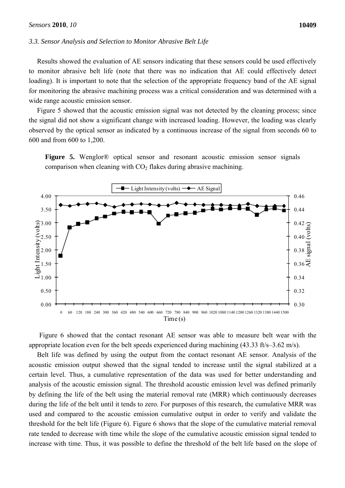## *3.3. Sensor Analysis and Selection to Monitor Abrasive Belt Life*

Results showed the evaluation of AE sensors indicating that these sensors could be used effectively to monitor abrasive belt life (note that there was no indication that AE could effectively detect loading). It is important to note that the selection of the appropriate frequency band of the AE signal for monitoring the abrasive machining process was a critical consideration and was determined with a wide range acoustic emission sensor.

Figure 5 showed that the acoustic emission signal was not detected by the cleaning process; since the signal did not show a significant change with increased loading. However, the loading was clearly observed by the optical sensor as indicated by a continuous increase of the signal from seconds 60 to 600 and from 600 to 1,200.

**Figure 5.** Wenglor® optical sensor and resonant acoustic emission sensor signals comparison when cleaning with  $CO<sub>2</sub>$  flakes during abrasive machining.



Figure 6 showed that the contact resonant AE sensor was able to measure belt wear with the appropriate location even for the belt speeds experienced during machining (43.33 ft/s–3.62 m/s).

Belt life was defined by using the output from the contact resonant AE sensor. Analysis of the acoustic emission output showed that the signal tended to increase until the signal stabilized at a certain level. Thus, a cumulative representation of the data was used for better understanding and analysis of the acoustic emission signal. The threshold acoustic emission level was defined primarily by defining the life of the belt using the material removal rate (MRR) which continuously decreases during the life of the belt until it tends to zero. For purposes of this research, the cumulative MRR was used and compared to the acoustic emission cumulative output in order to verify and validate the threshold for the belt life (Figure 6). Figure 6 shows that the slope of the cumulative material removal rate tended to decrease with time while the slope of the cumulative acoustic emission signal tended to increase with time. Thus, it was possible to define the threshold of the belt life based on the slope of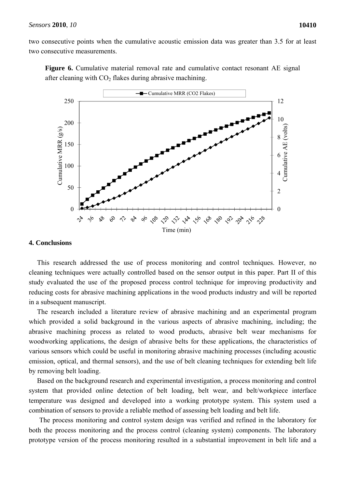two consecutive points when the cumulative acoustic emission data was greater than 3.5 for at least two consecutive measurements.

Figure 6. Cumulative material removal rate and cumulative contact resonant AE signal after cleaning with  $CO<sub>2</sub>$  flakes during abrasive machining.

![](_page_9_Figure_4.jpeg)

#### **4. Conclusions**

This research addressed the use of process monitoring and control techniques. However, no cleaning techniques were actually controlled based on the sensor output in this paper. Part II of this study evaluated the use of the proposed process control technique for improving productivity and reducing costs for abrasive machining applications in the wood products industry and will be reported in a subsequent manuscript.

The research included a literature review of abrasive machining and an experimental program which provided a solid background in the various aspects of abrasive machining, including; the abrasive machining process as related to wood products, abrasive belt wear mechanisms for woodworking applications, the design of abrasive belts for these applications, the characteristics of various sensors which could be useful in monitoring abrasive machining processes (including acoustic emission, optical, and thermal sensors), and the use of belt cleaning techniques for extending belt life by removing belt loading.

Based on the background research and experimental investigation, a process monitoring and control system that provided online detection of belt loading, belt wear, and belt/workpiece interface temperature was designed and developed into a working prototype system. This system used a combination of sensors to provide a reliable method of assessing belt loading and belt life.

The process monitoring and control system design was verified and refined in the laboratory for both the process monitoring and the process control (cleaning system) components. The laboratory prototype version of the process monitoring resulted in a substantial improvement in belt life and a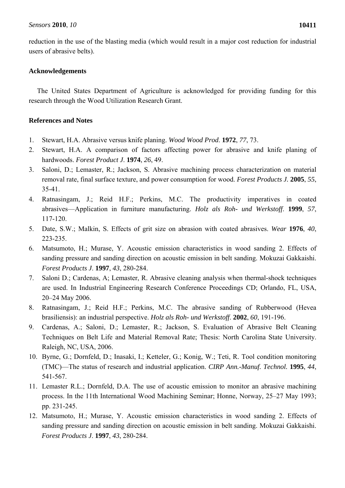reduction in the use of the blasting media (which would result in a major cost reduction for industrial users of abrasive belts).

# **Acknowledgements**

The United States Department of Agriculture is acknowledged for providing funding for this research through the Wood Utilization Research Grant.

# **References and Notes**

- 1. Stewart, H.A. Abrasive versus knife planing. *Wood Wood Prod*. **1972**, *77*, 73.
- 2. Stewart, H.A. A comparison of factors affecting power for abrasive and knife planing of hardwoods. *Forest Product J*. **1974**, *26*, 49.
- 3. Saloni, D.; Lemaster, R.; Jackson, S. Abrasive machining process characterization on material removal rate, final surface texture, and power consumption for wood. *Forest Products J.* **2005**, *55*, 35-41.
- 4. Ratnasingam, J.; Reid H.F.; Perkins, M.C. The productivity imperatives in coated abrasives—Application in furniture manufacturing. *Holz als Roh- und Werkstoff*. **1999**, *57*, 117-120.
- 5. Date, S.W.; Malkin, S. Effects of grit size on abrasion with coated abrasives. *Wear* **1976**, *40*, 223-235.
- 6. Matsumoto, H.; Murase, Y. Acoustic emission characteristics in wood sanding 2. Effects of sanding pressure and sanding direction on acoustic emission in belt sanding. Mokuzai Gakkaishi. *Forest Products J*. **1997**, *43*, 280-284.
- 7. Saloni D.; Cardenas, A; Lemaster, R. Abrasive cleaning analysis when thermal-shock techniques are used. In Industrial Engineering Research Conference Proceedings CD; Orlando, FL, USA, 20–24 May 2006.
- 8. Ratnasingam, J.; Reid H.F.; Perkins, M.C. The abrasive sanding of Rubberwood (Hevea brasiliensis): an industrial perspective. *Holz als Roh- und Werkstoff*. **2002**, *60*, 191-196.
- 9. Cardenas, A.; Saloni, D.; Lemaster, R.; Jackson, S. Evaluation of Abrasive Belt Cleaning Techniques on Belt Life and Material Removal Rate; Thesis: North Carolina State University. Raleigh, NC, USA, 2006.
- 10. Byrne, G.; Dornfeld, D.; Inasaki, I.; Ketteler, G.; Konig, W.; Teti, R. Tool condition monitoring (TMC)—The status of research and industrial application. *CIRP Ann.-Manuf. Technol.* **1995**, *44*, 541-567.
- 11. Lemaster R.L.; Dornfeld, D.A. The use of acoustic emission to monitor an abrasive machining process. In the 11th International Wood Machining Seminar; Honne, Norway, 25–27 May 1993; pp. 231-245.
- 12. Matsumoto, H.; Murase, Y. Acoustic emission characteristics in wood sanding 2. Effects of sanding pressure and sanding direction on acoustic emission in belt sanding. Mokuzai Gakkaishi. *Forest Products J*. **1997**, *43*, 280-284.